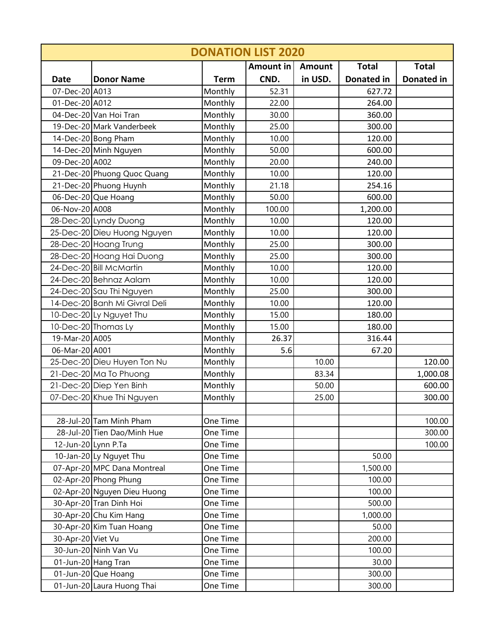|                     | <b>DONATION LIST 2020</b>     |             |           |               |                   |                   |  |  |  |  |
|---------------------|-------------------------------|-------------|-----------|---------------|-------------------|-------------------|--|--|--|--|
|                     |                               |             | Amount in | <b>Amount</b> | <b>Total</b>      | <b>Total</b>      |  |  |  |  |
| <b>Date</b>         | <b>Donor Name</b>             | <b>Term</b> | CND.      | in USD.       | <b>Donated in</b> | <b>Donated in</b> |  |  |  |  |
| 07-Dec-20 A013      |                               | Monthly     | 52.31     |               | 627.72            |                   |  |  |  |  |
| 01-Dec-20 A012      |                               | Monthly     | 22.00     |               | 264.00            |                   |  |  |  |  |
|                     | 04-Dec-20 Van Hoi Tran        | Monthly     | 30.00     |               | 360.00            |                   |  |  |  |  |
|                     | 19-Dec-20 Mark Vanderbeek     | Monthly     | 25.00     |               | 300.00            |                   |  |  |  |  |
|                     | 14-Dec-20 Bong Pham           | Monthly     | 10.00     |               | 120.00            |                   |  |  |  |  |
|                     | 14-Dec-20 Minh Nguyen         | Monthly     | 50.00     |               | 600.00            |                   |  |  |  |  |
| 09-Dec-20 A002      |                               | Monthly     | 20.00     |               | 240.00            |                   |  |  |  |  |
|                     | 21-Dec-20 Phuong Quoc Quang   | Monthly     | 10.00     |               | 120.00            |                   |  |  |  |  |
|                     | 21-Dec-20 Phuong Huynh        | Monthly     | 21.18     |               | 254.16            |                   |  |  |  |  |
|                     | 06-Dec-20 Que Hoang           | Monthly     | 50.00     |               | 600.00            |                   |  |  |  |  |
| 06-Nov-20 A008      |                               | Monthly     | 100.00    |               | 1,200.00          |                   |  |  |  |  |
|                     | 28-Dec-20 Lyndy Duong         | Monthly     | 10.00     |               | 120.00            |                   |  |  |  |  |
|                     | 25-Dec-20 Dieu Huong Nguyen   | Monthly     | 10.00     |               | 120.00            |                   |  |  |  |  |
|                     | 28-Dec-20 Hoang Trung         | Monthly     | 25.00     |               | 300.00            |                   |  |  |  |  |
|                     | 28-Dec-20 Hoang Hai Duong     | Monthly     | 25.00     |               | 300.00            |                   |  |  |  |  |
|                     | 24-Dec-20 Bill McMartin       | Monthly     | 10.00     |               | 120.00            |                   |  |  |  |  |
|                     | 24-Dec-20 Behnaz Aalam        | Monthly     | 10.00     |               | 120.00            |                   |  |  |  |  |
|                     | 24-Dec-20 Sau Thi Nguyen      | Monthly     | 25.00     |               | 300.00            |                   |  |  |  |  |
|                     | 14-Dec-20 Banh Mi Givral Deli | Monthly     | 10.00     |               | 120.00            |                   |  |  |  |  |
|                     | 10-Dec-20 Ly Nguyet Thu       | Monthly     | 15.00     |               | 180.00            |                   |  |  |  |  |
|                     | 10-Dec-20 Thomas Ly           | Monthly     | 15.00     |               | 180.00            |                   |  |  |  |  |
| 19-Mar-20 A005      |                               | Monthly     | 26.37     |               | 316.44            |                   |  |  |  |  |
| 06-Mar-20 A001      |                               | Monthly     | 5.6       |               | 67.20             |                   |  |  |  |  |
|                     | 25-Dec-20 Dieu Huyen Ton Nu   | Monthly     |           | 10.00         |                   | 120.00            |  |  |  |  |
|                     | 21-Dec-20 Ma To Phuong        | Monthly     |           | 83.34         |                   | 1,000.08          |  |  |  |  |
|                     | 21-Dec-20 Diep Yen Binh       | Monthly     |           | 50.00         |                   | 600.00            |  |  |  |  |
|                     | 07-Dec-20 Khue Thi Nguyen     | Monthly     |           | 25.00         |                   | 300.00            |  |  |  |  |
|                     |                               |             |           |               |                   |                   |  |  |  |  |
|                     | 28-Jul-20 Tam Minh Pham       | One Time    |           |               |                   | 100.00            |  |  |  |  |
|                     | 28-Jul-20 Tien Dao/Minh Hue   | One Time    |           |               |                   | 300.00            |  |  |  |  |
| 12-Jun-20 Lynn P.Ta |                               | One Time    |           |               |                   | 100.00            |  |  |  |  |
|                     | 10-Jan-20 Ly Nguyet Thu       | One Time    |           |               | 50.00             |                   |  |  |  |  |
|                     | 07-Apr-20 MPC Dana Montreal   | One Time    |           |               | 1,500.00          |                   |  |  |  |  |
|                     | 02-Apr-20 Phong Phung         | One Time    |           |               | 100.00            |                   |  |  |  |  |
|                     | 02-Apr-20 Nguyen Dieu Huong   | One Time    |           |               | 100.00            |                   |  |  |  |  |
|                     | 30-Apr-20 Tran Dinh Hoi       | One Time    |           |               | 500.00            |                   |  |  |  |  |
|                     | 30-Apr-20 Chu Kim Hang        | One Time    |           |               | 1,000.00          |                   |  |  |  |  |
|                     | 30-Apr-20 Kim Tuan Hoang      | One Time    |           |               | 50.00             |                   |  |  |  |  |
| 30-Apr-20 Viet Vu   |                               | One Time    |           |               | 200.00            |                   |  |  |  |  |
|                     | 30-Jun-20 Ninh Van Vu         | One Time    |           |               | 100.00            |                   |  |  |  |  |
|                     | 01-Jun-20 Hang Tran           | One Time    |           |               | 30.00             |                   |  |  |  |  |
|                     | 01-Jun-20 Que Hoang           | One Time    |           |               | 300.00            |                   |  |  |  |  |
|                     | 01-Jun-20 Laura Huong Thai    | One Time    |           |               | 300.00            |                   |  |  |  |  |